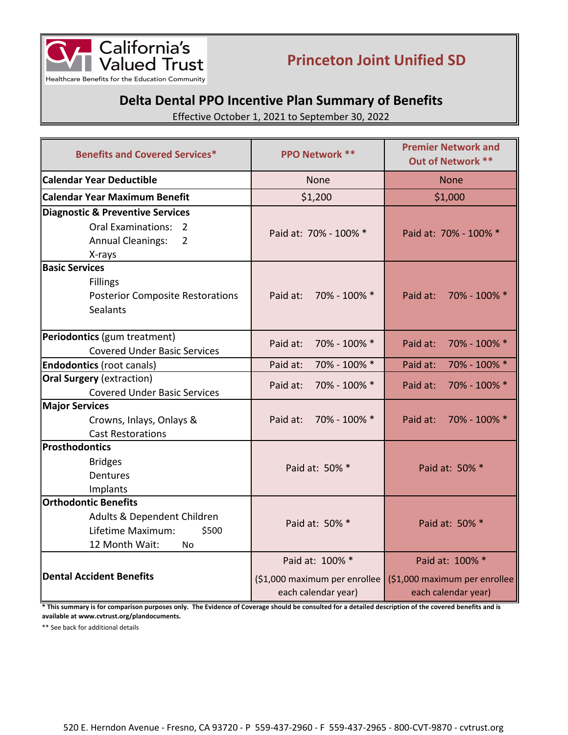

# **Princeton Joint Unified SD**

## **Delta Dental PPO Incentive Plan Summary of Benefits**

Effective October 1, 2021 to September 30, 2022

| <b>Benefits and Covered Services*</b>                                                                                                  | <b>PPO Network **</b>                                                   | <b>Premier Network and</b><br>Out of Network **                         |
|----------------------------------------------------------------------------------------------------------------------------------------|-------------------------------------------------------------------------|-------------------------------------------------------------------------|
| <b>Calendar Year Deductible</b>                                                                                                        | <b>None</b>                                                             | <b>None</b>                                                             |
| Calendar Year Maximum Benefit                                                                                                          | \$1,200                                                                 | \$1,000                                                                 |
| Diagnostic & Preventive Services<br><b>Oral Examinations:</b><br>$\mathcal{P}$<br>$\overline{2}$<br><b>Annual Cleanings:</b><br>X-rays | Paid at: 70% - 100% *                                                   | Paid at: 70% - 100% *                                                   |
| <b>Basic Services</b><br><b>Fillings</b><br><b>Posterior Composite Restorations</b><br><b>Sealants</b>                                 | Paid at: 70% - 100% *                                                   | Paid at:<br>70% - 100% *                                                |
| Periodontics (gum treatment)<br><b>Covered Under Basic Services</b>                                                                    | 70% - 100% *<br>Paid at:                                                | 70% - 100% *<br>Paid at:                                                |
| <b>Endodontics</b> (root canals)                                                                                                       | 70% - 100% *<br>Paid at:                                                | 70% - 100% *<br>Paid at:                                                |
| <b>Oral Surgery</b> (extraction)<br><b>Covered Under Basic Services</b>                                                                | 70% - 100% *<br>Paid at:                                                | Paid at:<br>70% - 100% *                                                |
| <b>Major Services</b><br>Crowns, Inlays, Onlays &<br><b>Cast Restorations</b>                                                          | Paid at: 70% - 100% *                                                   | Paid at:<br>70% - 100% *                                                |
| Prosthodontics<br><b>Bridges</b><br><b>Dentures</b><br>Implants                                                                        | Paid at: 50% *                                                          | Paid at: 50% *                                                          |
| <b>Orthodontic Benefits</b><br>Adults & Dependent Children<br>Lifetime Maximum:<br>\$500<br>12 Month Wait:<br>No.                      | Paid at: 50% *                                                          | Paid at: 50% *                                                          |
| <b>Dental Accident Benefits</b>                                                                                                        | Paid at: 100% *<br>(\$1,000 maximum per enrollee<br>each calendar year) | Paid at: 100% *<br>(\$1,000 maximum per enrollee<br>each calendar year) |

\* This summary is for comparison purposes only. The Evidence of Coverage should be consulted for a detailed description of the covered benefits and is **available at www.cvtrust.org/plandocuments.**

\*\* See back for additional details